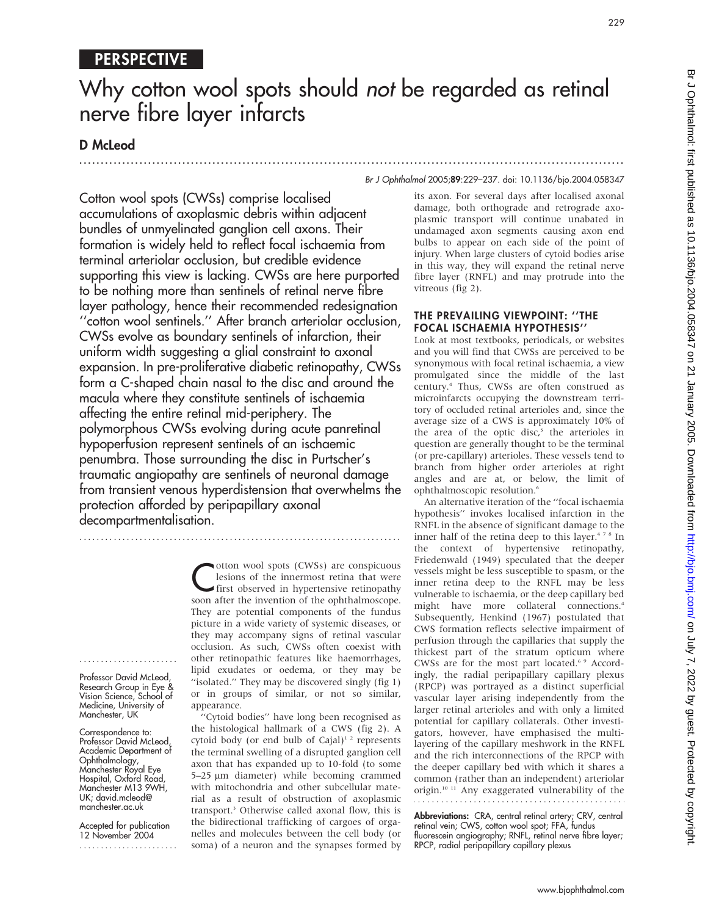# Why cotton wool spots should not be regarded as retinal nerve fibre layer infarcts

...............................................................................................................................

## D McLeod

Cotton wool spots (CWSs) comprise localised accumulations of axoplasmic debris within adjacent bundles of unmyelinated ganglion cell axons. Their formation is widely held to reflect focal ischaemia from terminal arteriolar occlusion, but credible evidence supporting this view is lacking. CWSs are here purported to be nothing more than sentinels of retinal nerve fibre layer pathology, hence their recommended redesignation ''cotton wool sentinels.'' After branch arteriolar occlusion, CWSs evolve as boundary sentinels of infarction, their uniform width suggesting a glial constraint to axonal expansion. In pre-proliferative diabetic retinopathy, CWSs form a C-shaped chain nasal to the disc and around the macula where they constitute sentinels of ischaemia affecting the entire retinal mid-periphery. The polymorphous CWSs evolving during acute panretinal hypoperfusion represent sentinels of an ischaemic penumbra. Those surrounding the disc in Purtscher's traumatic angiopathy are sentinels of neuronal damage from transient venous hyperdistension that overwhelms the protection afforded by peripapillary axonal decompartmentalisation.

...........................................................................

....................... Professor David McLeod, Research Group in Eye & Vision Science, School of Medicine, University of Manchester, UK Correspondence to: Professor David McLeod, Academic Department of Ophthalmology, Manchester Royal Eye Hospital, Oxford Road Manchester M13 9WH, UK; david.mcleod@ manchester.ac.uk

Accepted for publication 12 November 2004 .......................

otton wool spots (CWSs) are conspicuous<br>lesions of the innermost retina that were<br>first observed in hypertensive retinopathy<br>seen ofter the invantion of the ophthelmoseone lesions of the innermost retina that were first observed in hypertensive retinopathy soon after the invention of the ophthalmoscope. They are potential components of the fundus picture in a wide variety of systemic diseases, or they may accompany signs of retinal vascular occlusion. As such, CWSs often coexist with other retinopathic features like haemorrhages, lipid exudates or oedema, or they may be "isolated." They may be discovered singly (fig 1) or in groups of similar, or not so similar, appearance.

''Cytoid bodies'' have long been recognised as the histological hallmark of a CWS (fig 2). A cytoid body (or end bulb of Cajal)<sup>1-2</sup> represents the terminal swelling of a disrupted ganglion cell axon that has expanded up to 10-fold (to some  $5-25 \mu m$  diameter) while becoming crammed with mitochondria and other subcellular material as a result of obstruction of axoplasmic transport.3 Otherwise called axonal flow, this is the bidirectional trafficking of cargoes of organelles and molecules between the cell body (or soma) of a neuron and the synapses formed by

#### Br J Ophthalmol 2005;89:229–237. doi: 10.1136/bjo.2004.058347

its axon. For several days after localised axonal damage, both orthograde and retrograde axoplasmic transport will continue unabated in undamaged axon segments causing axon end bulbs to appear on each side of the point of injury. When large clusters of cytoid bodies arise in this way, they will expand the retinal nerve fibre layer (RNFL) and may protrude into the vitreous (fig 2).

229

### THE PREVAILING VIEWPOINT: ''THE FOCAL ISCHAEMIA HYPOTHESIS''

Look at most textbooks, periodicals, or websites and you will find that CWSs are perceived to be synonymous with focal retinal ischaemia, a view promulgated since the middle of the last century.4 Thus, CWSs are often construed as microinfarcts occupying the downstream territory of occluded retinal arterioles and, since the average size of a CWS is approximately 10% of the area of the optic disc,<sup>5</sup> the arterioles in question are generally thought to be the terminal (or pre-capillary) arterioles. These vessels tend to branch from higher order arterioles at right angles and are at, or below, the limit of ophthalmoscopic resolution.<sup>6</sup>

An alternative iteration of the ''focal ischaemia hypothesis'' invokes localised infarction in the RNFL in the absence of significant damage to the inner half of the retina deep to this layer. $478$  In the context of hypertensive retinopathy, Friedenwald (1949) speculated that the deeper vessels might be less susceptible to spasm, or the inner retina deep to the RNFL may be less vulnerable to ischaemia, or the deep capillary bed might have more collateral connections.4 Subsequently, Henkind (1967) postulated that CWS formation reflects selective impairment of perfusion through the capillaries that supply the thickest part of the stratum opticum where CWSs are for the most part located.<sup>6</sup> 9 Accordingly, the radial peripapillary capillary plexus (RPCP) was portrayed as a distinct superficial vascular layer arising independently from the larger retinal arterioles and with only a limited potential for capillary collaterals. Other investigators, however, have emphasised the multilayering of the capillary meshwork in the RNFL and the rich interconnections of the RPCP with the deeper capillary bed with which it shares a common (rather than an independent) arteriolar origin.10 11 Any exaggerated vulnerability of the

Abbreviations: CRA, central retinal artery; CRV, central retinal vein; CWS, cotton wool spot; FFA, fundus fluorescein angiography; RNFL, retinal nerve fibre layer; RPCP, radial peripapillary capillary plexus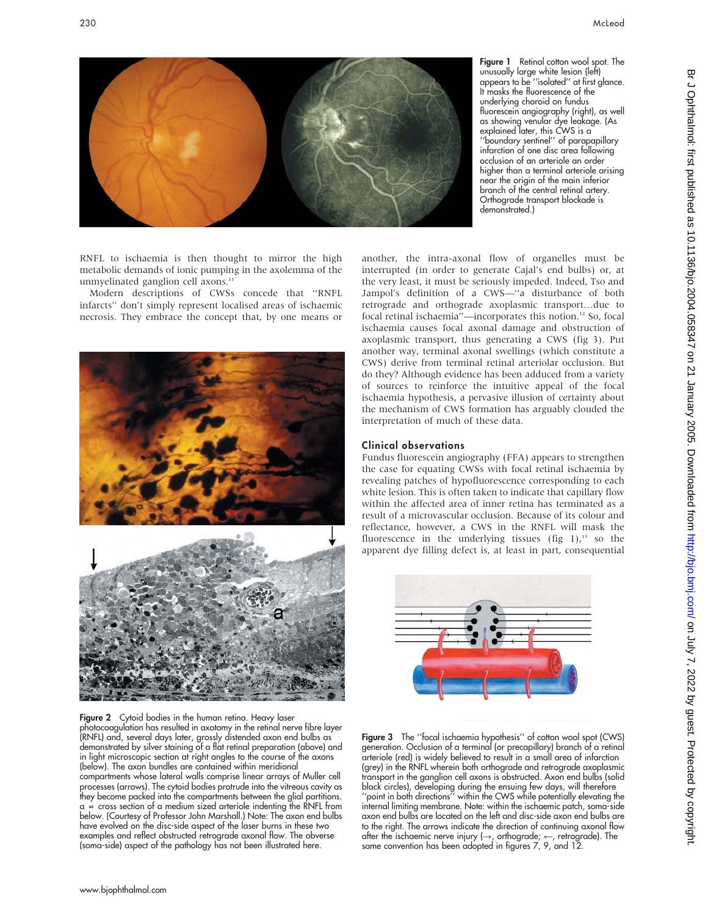axoplasmic transport, thus generating a CWS (fig 3). Put another way, terminal axonal swellings (which constitute a CWS) derive from terminal retinal arteriolar occlusion. But do they? Although evidence has been adduced from a variety of sources to reinforce the intuitive appeal of the focal ischaemia hypothesis, a pervasive illusion of certainty about the mechanism of CWS formation has arguably clouded the interpretation of much of these data.

#### Clinical observations

Fundus fluorescein angiography (FFA) appears to strengthen the case for equating CWSs with focal retinal ischaemia by revealing patches of hypofluorescence corresponding to each white lesion. This is often taken to indicate that capillary flow within the affected area of inner retina has terminated as a result of a microvascular occlusion. Because of its colour and reflectance, however, a CWS in the RNFL will mask the fluorescence in the underlying tissues (fig 1), $13$  so the apparent dye filling defect is, at least in part, consequential

demonstrated.)



after the ischaemic nerve injury  $(\rightarrow)$ , orthograde;  $\leftarrow$ , retrograde). The same convention has been adopted in figures 7, 9, and 12.

Figure 2 Cytoid bodies in the human retina. Heavy laser photocoagulation has resulted in axotomy in the retinal nerve fibre layer (RNFL) and, several days later, grossly distended axon end bulbs as demonstrated by silver staining of a flat retinal preparation (above) and in light microscopic section at right angles to the course of the axons (below). The axon bundles are contained within meridional compartments whose lateral walls comprise linear arrays of Muller cell processes (arrows). The cytoid bodies protrude into the vitreous cavity as they become packed into the compartments between the glial partitions.  $a =$  cross section of a medium sized arteriole indenting the RNFL from below. (Courtesy of Professor John Marshall.) Note: The axon end bulbs have evolved on the disc-side aspect of the laser burns in these two examples and reflect obstructed retrograde axonal flow. The obverse (soma-side) aspect of the pathology has not been illustrated here.

Figure 1 Retinal cotton wool spot. The unusually large white lesion (left) appears to be ''isolated'' at first glance. It masks the fluorescence of the underlying choroid on fundus fluorescein angiography (right), as well as showing venular dye leakage. (As explained later, this CWS is a ''boundary sentinel'' of parapapillary infarction of one disc area following occlusion of an arteriole an order higher than a terminal arteriole arising near the origin of the main inferior branch of the central retinal artery. Orthograde transport blockade is

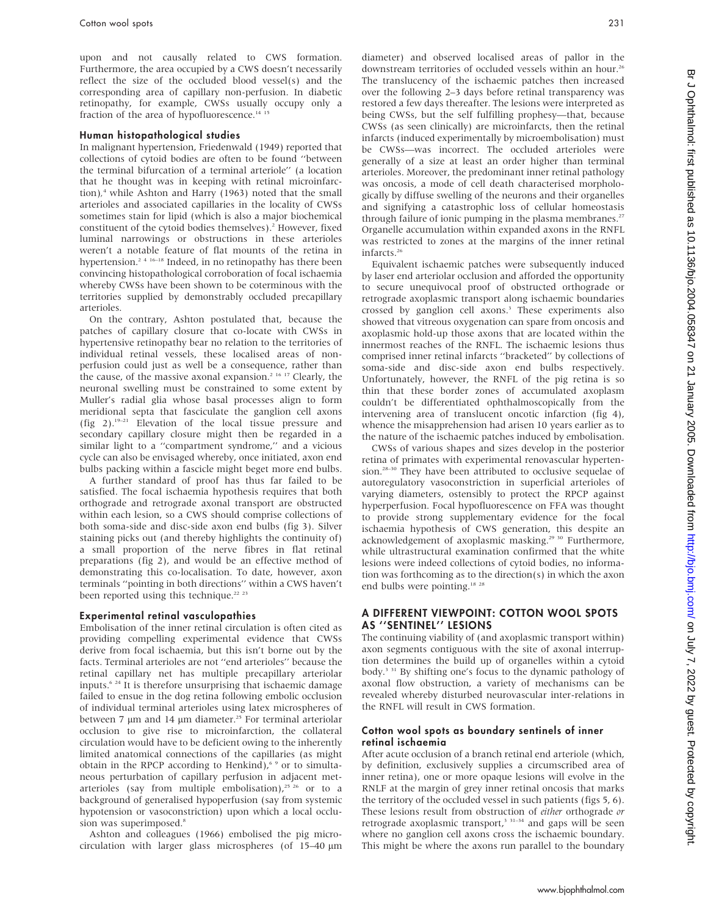upon and not causally related to CWS formation. Furthermore, the area occupied by a CWS doesn't necessarily reflect the size of the occluded blood vessel(s) and the corresponding area of capillary non-perfusion. In diabetic retinopathy, for example, CWSs usually occupy only a fraction of the area of hypofluorescence.<sup>14 15</sup>

#### Human histopathological studies

In malignant hypertension, Friedenwald (1949) reported that collections of cytoid bodies are often to be found ''between the terminal bifurcation of a terminal arteriole'' (a location that he thought was in keeping with retinal microinfarction), <sup>4</sup> while Ashton and Harry (1963) noted that the small arterioles and associated capillaries in the locality of CWSs sometimes stain for lipid (which is also a major biochemical constituent of the cytoid bodies themselves).<sup>2</sup> However, fixed luminal narrowings or obstructions in these arterioles weren't a notable feature of flat mounts of the retina in hypertension.<sup>2 4 16–18</sup> Indeed, in no retinopathy has there been convincing histopathological corroboration of focal ischaemia whereby CWSs have been shown to be coterminous with the territories supplied by demonstrably occluded precapillary arterioles.

On the contrary, Ashton postulated that, because the patches of capillary closure that co-locate with CWSs in hypertensive retinopathy bear no relation to the territories of individual retinal vessels, these localised areas of nonperfusion could just as well be a consequence, rather than the cause, of the massive axonal expansion.<sup>2 16 17</sup> Clearly, the neuronal swelling must be constrained to some extent by Muller's radial glia whose basal processes align to form meridional septa that fasciculate the ganglion cell axons (fig 2).19–21 Elevation of the local tissue pressure and secondary capillary closure might then be regarded in a similar light to a ''compartment syndrome,'' and a vicious cycle can also be envisaged whereby, once initiated, axon end bulbs packing within a fascicle might beget more end bulbs.

A further standard of proof has thus far failed to be satisfied. The focal ischaemia hypothesis requires that both orthograde and retrograde axonal transport are obstructed within each lesion, so a CWS should comprise collections of both soma-side and disc-side axon end bulbs (fig 3). Silver staining picks out (and thereby highlights the continuity of) a small proportion of the nerve fibres in flat retinal preparations (fig 2), and would be an effective method of demonstrating this co-localisation. To date, however, axon terminals ''pointing in both directions'' within a CWS haven't been reported using this technique.<sup>22</sup> <sup>23</sup>

#### Experimental retinal vasculopathies

Embolisation of the inner retinal circulation is often cited as providing compelling experimental evidence that CWSs derive from focal ischaemia, but this isn't borne out by the facts. Terminal arterioles are not ''end arterioles'' because the retinal capillary net has multiple precapillary arteriolar inputs.<sup>6 24</sup> It is therefore unsurprising that ischaemic damage failed to ensue in the dog retina following embolic occlusion of individual terminal arterioles using latex microspheres of between 7  $\mu$ m and 14  $\mu$ m diameter.<sup>25</sup> For terminal arteriolar occlusion to give rise to microinfarction, the collateral circulation would have to be deficient owing to the inherently limited anatomical connections of the capillaries (as might obtain in the RPCP according to Henkind), $69$  or to simultaneous perturbation of capillary perfusion in adjacent metarterioles (say from multiple embolisation), $25\frac{26}{3}$  or to a background of generalised hypoperfusion (say from systemic hypotension or vasoconstriction) upon which a local occlusion was superimposed.<sup>8</sup>

Ashton and colleagues (1966) embolised the pig microcirculation with larger glass microspheres (of 15-40  $\mu$ m diameter) and observed localised areas of pallor in the downstream territories of occluded vessels within an hour.<sup>26</sup> The translucency of the ischaemic patches then increased over the following 2–3 days before retinal transparency was restored a few days thereafter. The lesions were interpreted as being CWSs, but the self fulfilling prophesy—that, because CWSs (as seen clinically) are microinfarcts, then the retinal infarcts (induced experimentally by microembolisation) must be CWSs—was incorrect. The occluded arterioles were generally of a size at least an order higher than terminal arterioles. Moreover, the predominant inner retinal pathology was oncosis, a mode of cell death characterised morphologically by diffuse swelling of the neurons and their organelles and signifying a catastrophic loss of cellular homeostasis through failure of ionic pumping in the plasma membranes.<sup>27</sup> Organelle accumulation within expanded axons in the RNFL was restricted to zones at the margins of the inner retinal infarcts.26

Equivalent ischaemic patches were subsequently induced by laser end arteriolar occlusion and afforded the opportunity to secure unequivocal proof of obstructed orthograde or retrograde axoplasmic transport along ischaemic boundaries crossed by ganglion cell axons.<sup>3</sup> These experiments also showed that vitreous oxygenation can spare from oncosis and axoplasmic hold-up those axons that are located within the innermost reaches of the RNFL. The ischaemic lesions thus comprised inner retinal infarcts ''bracketed'' by collections of soma-side and disc-side axon end bulbs respectively. Unfortunately, however, the RNFL of the pig retina is so thin that these border zones of accumulated axoplasm couldn't be differentiated ophthalmoscopically from the intervening area of translucent oncotic infarction (fig 4), whence the misapprehension had arisen 10 years earlier as to the nature of the ischaemic patches induced by embolisation.

CWSs of various shapes and sizes develop in the posterior retina of primates with experimental renovascular hypertension.<sup>28-30</sup> They have been attributed to occlusive sequelae of autoregulatory vasoconstriction in superficial arterioles of varying diameters, ostensibly to protect the RPCP against hyperperfusion. Focal hypofluorescence on FFA was thought to provide strong supplementary evidence for the focal ischaemia hypothesis of CWS generation, this despite an acknowledgement of axoplasmic masking.<sup>29 30</sup> Furthermore, while ultrastructural examination confirmed that the white lesions were indeed collections of cytoid bodies, no information was forthcoming as to the direction(s) in which the axon end bulbs were pointing.<sup>18 28</sup>

#### A DIFFERENT VIEWPOINT: COTTON WOOL SPOTS AS ''SENTINEL'' LESIONS

The continuing viability of (and axoplasmic transport within) axon segments contiguous with the site of axonal interruption determines the build up of organelles within a cytoid body.3 31 By shifting one's focus to the dynamic pathology of axonal flow obstruction, a variety of mechanisms can be revealed whereby disturbed neurovascular inter-relations in the RNFL will result in CWS formation.

#### Cotton wool spots as boundary sentinels of inner retinal ischaemia

After acute occlusion of a branch retinal end arteriole (which, by definition, exclusively supplies a circumscribed area of inner retina), one or more opaque lesions will evolve in the RNLF at the margin of grey inner retinal oncosis that marks the territory of the occluded vessel in such patients (figs 5, 6). These lesions result from obstruction of either orthograde or retrograde axoplasmic transport,<sup>3 31-34</sup> and gaps will be seen where no ganglion cell axons cross the ischaemic boundary. This might be where the axons run parallel to the boundary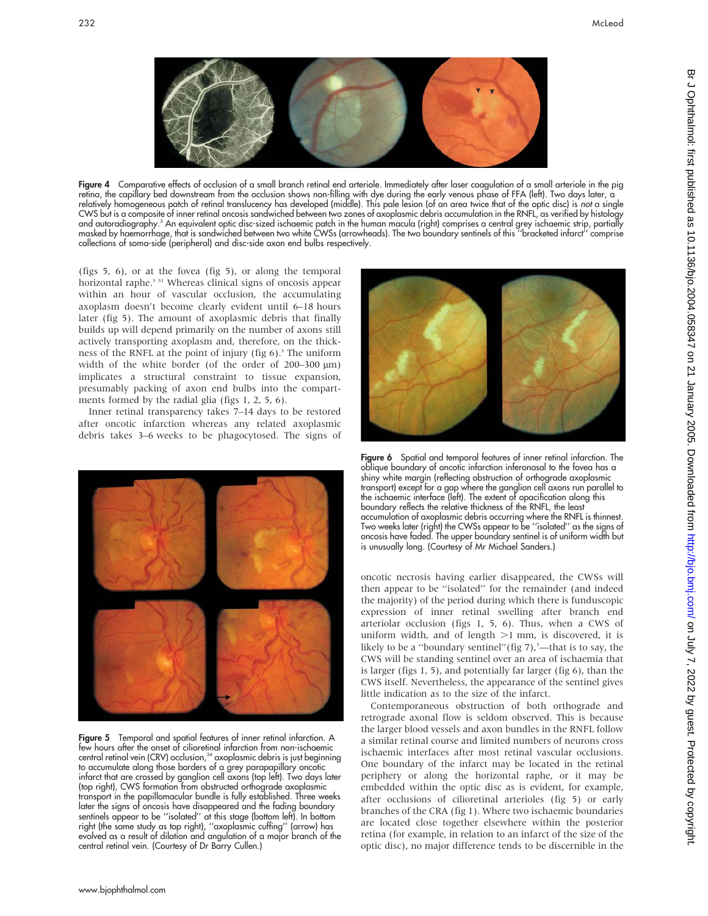

Figure 4 Comparative effects of occlusion of a small branch retinal end arteriole. Immediately after laser coagulation of a small arteriole in the pig retina, the capillary bed downstream from the occlusion shows non-filling with dye during the early venous phase of FFA (left). Two days later, a relatively homogeneous patch of retinal translucency has developed (middle). This pale lesion (of an area twice that of the optic disc) is not a single CWS but is a composite of inner retinal oncosis sandwiched between two zones of axoplasmic debris accumulation in the RNFL, as verified by histology and autoradiography.<sup>3</sup> An equivalent optic disc-sized ischaemic patch in the human macula (right) comprises a central grey ischaemic strip, partially masked by haemorrhage, that is sandwiched between two white CWSs (arrowheads). The two boundary sentinels of this ''bracketed infarct'' comprise collections of soma-side (peripheral) and disc-side axon end bulbs respectively.

(figs 5, 6), or at the fovea (fig 5), or along the temporal horizontal raphe.<sup>3 31</sup> Whereas clinical signs of oncosis appear within an hour of vascular occlusion, the accumulating axoplasm doesn't become clearly evident until 6–18 hours later (fig 5). The amount of axoplasmic debris that finally builds up will depend primarily on the number of axons still actively transporting axoplasm and, therefore, on the thickness of the RNFL at the point of injury (fig  $6$ ).<sup>3</sup> The uniform width of the white border (of the order of  $200-300 \text{ }\mu\text{m}$ ) implicates a structural constraint to tissue expansion, presumably packing of axon end bulbs into the compartments formed by the radial glia (figs 1, 2, 5, 6).

Inner retinal transparency takes 7–14 days to be restored after oncotic infarction whereas any related axoplasmic debris takes 3–6 weeks to be phagocytosed. The signs of



Figure 5 Temporal and spatial features of inner retinal infarction. A few hours after the onset of cilioretinal infarction from non-ischaemic central retinal vein (CRV) occlusion,<sup>34</sup> axoplasmic debris is just beginning to accumulate along those borders of a grey parapapillary oncotic infarct that are crossed by ganglion cell axons (top left). Two days later (top right), CWS formation from obstructed orthograde axoplasmic transport in the papillomacular bundle is fully established. Three weeks later the signs of oncosis have disappeared and the fading boundary sentinels appear to be ''isolated'' at this stage (bottom left). In bottom right (the same study as top right), ''axoplasmic cuffing'' (arrow) has evolved as a result of dilation and angulation of a major branch of the central retinal vein. (Courtesy of Dr Barry Cullen.)



Figure 6 Spatial and temporal features of inner retinal infarction. The oblique boundary of oncotic infarction inferonasal to the fovea has a shiny white margin (reflecting obstruction of orthograde axoplasmic transport) except for a gap where the ganglion cell axons run parallel to the ischaemic interface (left). The extent of opacification along this boundary reflects the relative thickness of the RNFL, the least accumulation of axoplasmic debris occurring where the RNFL is thinnest. Two weeks later (right) the CWSs appear to be ''isolated'' as the signs of oncosis have faded. The upper boundary sentinel is of uniform width but is unusually long. (Courtesy of Mr Michael Sanders.)

oncotic necrosis having earlier disappeared, the CWSs will then appear to be ''isolated'' for the remainder (and indeed the majority) of the period during which there is funduscopic expression of inner retinal swelling after branch end arteriolar occlusion (figs 1, 5, 6). Thus, when a CWS of uniform width, and of length  $>1$  mm, is discovered, it is likely to be a "boundary sentinel"  $(fig 7)$ ,  $\rightarrow$  that is to say, the CWS will be standing sentinel over an area of ischaemia that is larger (figs 1, 5), and potentially far larger (fig 6), than the CWS itself. Nevertheless, the appearance of the sentinel gives little indication as to the size of the infarct.

Contemporaneous obstruction of both orthograde and retrograde axonal flow is seldom observed. This is because the larger blood vessels and axon bundles in the RNFL follow a similar retinal course and limited numbers of neurons cross ischaemic interfaces after most retinal vascular occlusions. One boundary of the infarct may be located in the retinal periphery or along the horizontal raphe, or it may be embedded within the optic disc as is evident, for example, after occlusions of cilioretinal arterioles (fig 5) or early branches of the CRA (fig 1). Where two ischaemic boundaries are located close together elsewhere within the posterior retina (for example, in relation to an infarct of the size of the optic disc), no major difference tends to be discernible in the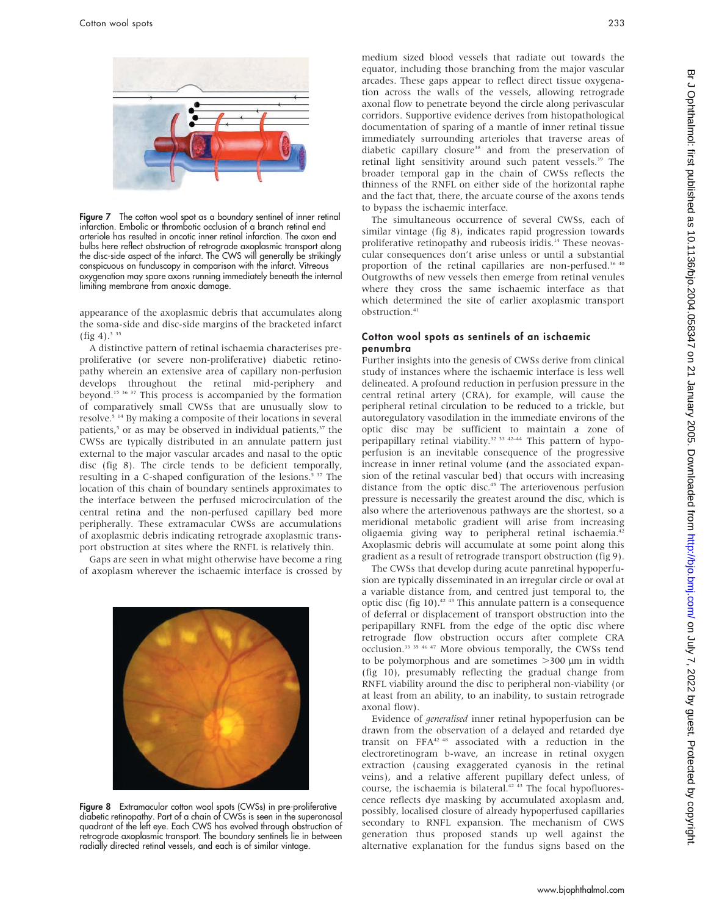

Figure 7 The cotton wool spot as a boundary sentinel of inner retinal infarction. Embolic or thrombotic occlusion of a branch retinal end arteriole has resulted in oncotic inner retinal infarction. The axon end bulbs here reflect obstruction of retrograde axoplasmic transport along the disc-side aspect of the infarct. The CWS will generally be strikingly conspicuous on funduscopy in comparison with the infarct. Vitreous oxygenation may spare axons running immediately beneath the internal limiting membrane from anoxic damage.

appearance of the axoplasmic debris that accumulates along the soma-side and disc-side margins of the bracketed infarct  $(fig 4).$ <sup>3 35</sup>

A distinctive pattern of retinal ischaemia characterises preproliferative (or severe non-proliferative) diabetic retinopathy wherein an extensive area of capillary non-perfusion develops throughout the retinal mid-periphery and beyond.15 36 37 This process is accompanied by the formation of comparatively small CWSs that are unusually slow to resolve.5 14 By making a composite of their locations in several patients,<sup>5</sup> or as may be observed in individual patients,<sup>37</sup> the CWSs are typically distributed in an annulate pattern just external to the major vascular arcades and nasal to the optic disc (fig 8). The circle tends to be deficient temporally, resulting in a C-shaped configuration of the lesions.<sup>5 37</sup> The location of this chain of boundary sentinels approximates to the interface between the perfused microcirculation of the central retina and the non-perfused capillary bed more peripherally. These extramacular CWSs are accumulations of axoplasmic debris indicating retrograde axoplasmic transport obstruction at sites where the RNFL is relatively thin.

Gaps are seen in what might otherwise have become a ring of axoplasm wherever the ischaemic interface is crossed by



**Figure 8** Extramacular cotton wool spots (CWSs) in pre-proliferative diabetic retinopathy. Part of a chain of CWSs is seen in the superonasal quadrant of the left eye. Each CWS has evolved through obstruction of retrograde axoplasmic transport. The boundary sentinels lie in between radially directed retinal vessels, and each is of similar vintage.

medium sized blood vessels that radiate out towards the equator, including those branching from the major vascular arcades. These gaps appear to reflect direct tissue oxygenation across the walls of the vessels, allowing retrograde axonal flow to penetrate beyond the circle along perivascular corridors. Supportive evidence derives from histopathological documentation of sparing of a mantle of inner retinal tissue immediately surrounding arterioles that traverse areas of diabetic capillary closure<sup>38</sup> and from the preservation of retinal light sensitivity around such patent vessels.<sup>39</sup> The broader temporal gap in the chain of CWSs reflects the thinness of the RNFL on either side of the horizontal raphe and the fact that, there, the arcuate course of the axons tends to bypass the ischaemic interface.

The simultaneous occurrence of several CWSs, each of similar vintage (fig 8), indicates rapid progression towards proliferative retinopathy and rubeosis iridis.<sup>14</sup> These neovascular consequences don't arise unless or until a substantial proportion of the retinal capillaries are non-perfused.<sup>36 40</sup> Outgrowths of new vessels then emerge from retinal venules where they cross the same ischaemic interface as that which determined the site of earlier axoplasmic transport obstruction.<sup>41</sup>

#### Cotton wool spots as sentinels of an ischaemic penumbra

Further insights into the genesis of CWSs derive from clinical study of instances where the ischaemic interface is less well delineated. A profound reduction in perfusion pressure in the central retinal artery (CRA), for example, will cause the peripheral retinal circulation to be reduced to a trickle, but autoregulatory vasodilation in the immediate environs of the optic disc may be sufficient to maintain a zone of peripapillary retinal viability.32 33 42–44 This pattern of hypoperfusion is an inevitable consequence of the progressive increase in inner retinal volume (and the associated expansion of the retinal vascular bed) that occurs with increasing distance from the optic disc.<sup>45</sup> The arteriovenous perfusion pressure is necessarily the greatest around the disc, which is also where the arteriovenous pathways are the shortest, so a meridional metabolic gradient will arise from increasing oligaemia giving way to peripheral retinal ischaemia.42 Axoplasmic debris will accumulate at some point along this gradient as a result of retrograde transport obstruction (fig 9).

The CWSs that develop during acute panretinal hypoperfusion are typically disseminated in an irregular circle or oval at a variable distance from, and centred just temporal to, the optic disc (fig 10).42 43 This annulate pattern is a consequence of deferral or displacement of transport obstruction into the peripapillary RNFL from the edge of the optic disc where retrograde flow obstruction occurs after complete CRA occlusion.33 35 46 47 More obvious temporally, the CWSs tend to be polymorphous and are sometimes  $>$ 300  $\mu$ m in width (fig 10), presumably reflecting the gradual change from RNFL viability around the disc to peripheral non-viability (or at least from an ability, to an inability, to sustain retrograde axonal flow).

Evidence of generalised inner retinal hypoperfusion can be drawn from the observation of a delayed and retarded dye transit on FFA42 48 associated with a reduction in the electroretinogram b-wave, an increase in retinal oxygen extraction (causing exaggerated cyanosis in the retinal veins), and a relative afferent pupillary defect unless, of course, the ischaemia is bilateral.<sup>42 43</sup> The focal hypofluorescence reflects dye masking by accumulated axoplasm and, possibly, localised closure of already hypoperfused capillaries secondary to RNFL expansion. The mechanism of CWS generation thus proposed stands up well against the alternative explanation for the fundus signs based on the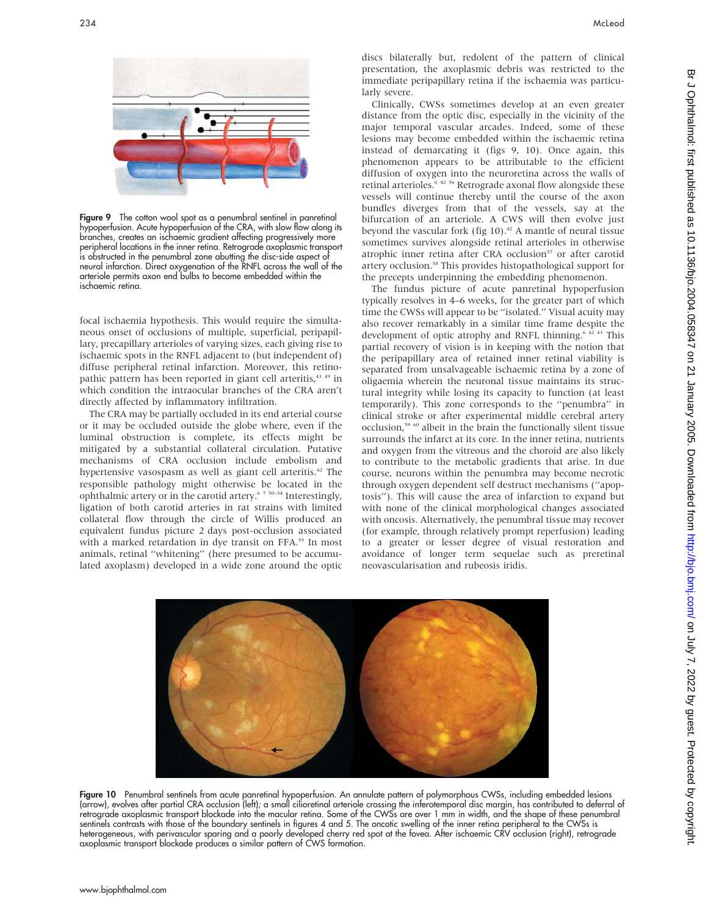

Figure 9 The cotton wool spot as a penumbral sentinel in panretinal hypoperfusion. Acute hypoperfusion of the CRA, with slow flow along its branches, creates an ischaemic gradient affecting progressively more peripheral locations in the inner retina. Retrograde axoplasmic transport is obstructed in the penumbral zone abutting the disc-side aspect of neural infarction. Direct oxygenation of the RNFL across the wall of the arteriole permits axon end bulbs to become embedded within the ischaemic retina.

focal ischaemia hypothesis. This would require the simultaneous onset of occlusions of multiple, superficial, peripapillary, precapillary arterioles of varying sizes, each giving rise to ischaemic spots in the RNFL adjacent to (but independent of) diffuse peripheral retinal infarction. Moreover, this retinopathic pattern has been reported in giant cell arteritis,<sup>43</sup> 49 in which condition the intraocular branches of the CRA aren't directly affected by inflammatory infiltration.

The CRA may be partially occluded in its end arterial course or it may be occluded outside the globe where, even if the luminal obstruction is complete, its effects might be mitigated by a substantial collateral circulation. Putative mechanisms of CRA occlusion include embolism and hypertensive vasospasm as well as giant cell arteritis.<sup>42</sup> The responsible pathology might otherwise be located in the ophthalmic artery or in the carotid artery.6 7 50–54 Interestingly, ligation of both carotid arteries in rat strains with limited collateral flow through the circle of Willis produced an equivalent fundus picture 2 days post-occlusion associated with a marked retardation in dye transit on FFA.<sup>55</sup> In most animals, retinal ''whitening'' (here presumed to be accumulated axoplasm) developed in a wide zone around the optic discs bilaterally but, redolent of the pattern of clinical presentation, the axoplasmic debris was restricted to the immediate peripapillary retina if the ischaemia was particularly severe.

Clinically, CWSs sometimes develop at an even greater distance from the optic disc, especially in the vicinity of the major temporal vascular arcades. Indeed, some of these lesions may become embedded within the ischaemic retina instead of demarcating it (figs 9, 10). Once again, this phenomenon appears to be attributable to the efficient diffusion of oxygen into the neuroretina across the walls of retinal arterioles.<sup>6 42 56</sup> Retrograde axonal flow alongside these vessels will continue thereby until the course of the axon bundles diverges from that of the vessels, say at the bifurcation of an arteriole. A CWS will then evolve just beyond the vascular fork (fig  $10$ ).<sup>42</sup> A mantle of neural tissue sometimes survives alongside retinal arterioles in otherwise atrophic inner retina after CRA occlusion<sup>57</sup> or after carotid artery occlusion.58 This provides histopathological support for the precepts underpinning the embedding phenomenon.

The fundus picture of acute panretinal hypoperfusion typically resolves in 4–6 weeks, for the greater part of which time the CWSs will appear to be ''isolated.'' Visual acuity may also recover remarkably in a similar time frame despite the development of optic atrophy and RNFL thinning.6 42 43 This partial recovery of vision is in keeping with the notion that the peripapillary area of retained inner retinal viability is separated from unsalvageable ischaemic retina by a zone of oligaemia wherein the neuronal tissue maintains its structural integrity while losing its capacity to function (at least temporarily). This zone corresponds to the ''penumbra'' in clinical stroke or after experimental middle cerebral artery occlusion,<sup>59 60</sup> albeit in the brain the functionally silent tissue surrounds the infarct at its core. In the inner retina, nutrients and oxygen from the vitreous and the choroid are also likely to contribute to the metabolic gradients that arise. In due course, neurons within the penumbra may become necrotic through oxygen dependent self destruct mechanisms (''apoptosis''). This will cause the area of infarction to expand but with none of the clinical morphological changes associated with oncosis. Alternatively, the penumbral tissue may recover (for example, through relatively prompt reperfusion) leading to a greater or lesser degree of visual restoration and avoidance of longer term sequelae such as preretinal neovascularisation and rubeosis iridis.



**Figure 10** Penumbral sentinels from acute panretinal hypoperfusion. An annulate pattern of polymorphous CWSs, including embedded lesions (arrow), evolves after partial CRA occlusion (left); a small cilioretinal arteriole crossing the inferotemporal disc margin, has contributed to deferral of retrograde axoplasmic transport blockade into the macular retina. Some of the CWSs are over 1 mm in width, and the shape of these penumbral sentinels contrasts with those of the boundary sentinels in figures 4 and 5. The oncotic swelling of the inner retina peripheral to the CWSs is heterogeneous, with perivascular sparing and a poorly developed cherry red spot at the fovea. After ischaemic CRV occlusion (right), retrograde axoplasmic transport blockade produces a similar pattern of CWS formation.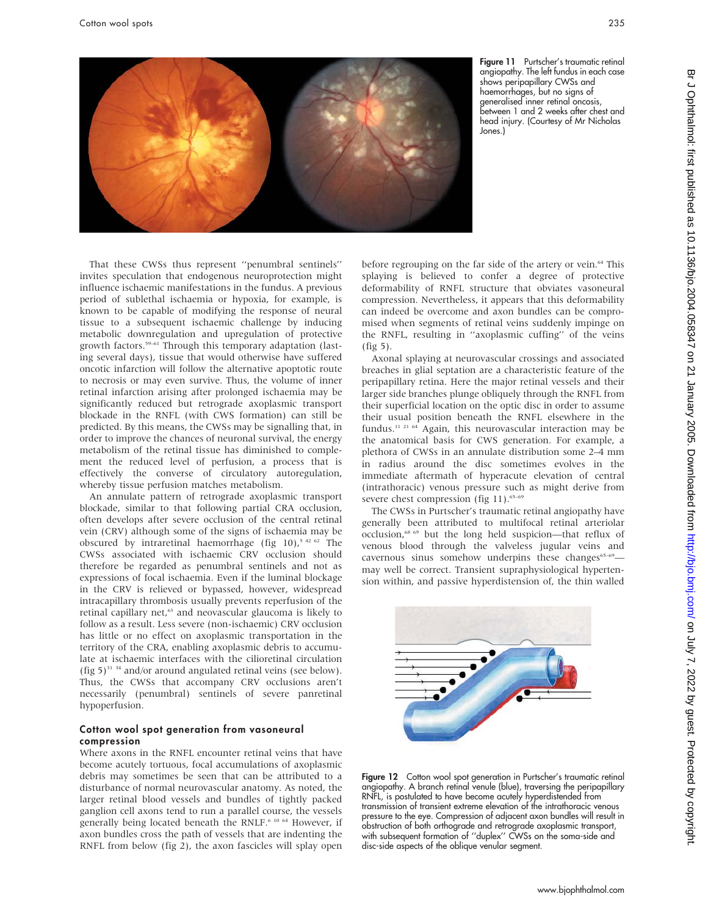

Figure 11 Purtscher's traumatic retinal angiopathy. The left fundus in each case shows peripapillary CWSs and haemorrhages, but no signs of generalised inner retinal oncosis, between 1 and 2 weeks after chest and head injury. (Courtesy of Mr Nicholas Jones.)

That these CWSs thus represent ''penumbral sentinels'' invites speculation that endogenous neuroprotection might influence ischaemic manifestations in the fundus. A previous period of sublethal ischaemia or hypoxia, for example, is known to be capable of modifying the response of neural tissue to a subsequent ischaemic challenge by inducing metabolic downregulation and upregulation of protective growth factors.<sup>59-61</sup> Through this temporary adaptation (lasting several days), tissue that would otherwise have suffered oncotic infarction will follow the alternative apoptotic route to necrosis or may even survive. Thus, the volume of inner retinal infarction arising after prolonged ischaemia may be significantly reduced but retrograde axoplasmic transport blockade in the RNFL (with CWS formation) can still be predicted. By this means, the CWSs may be signalling that, in order to improve the chances of neuronal survival, the energy metabolism of the retinal tissue has diminished to complement the reduced level of perfusion, a process that is effectively the converse of circulatory autoregulation, whereby tissue perfusion matches metabolism.

An annulate pattern of retrograde axoplasmic transport blockade, similar to that following partial CRA occlusion, often develops after severe occlusion of the central retinal vein (CRV) although some of the signs of ischaemia may be obscured by intraretinal haemorrhage (fig 10),<sup>5 42 62</sup> The CWSs associated with ischaemic CRV occlusion should therefore be regarded as penumbral sentinels and not as expressions of focal ischaemia. Even if the luminal blockage in the CRV is relieved or bypassed, however, widespread intracapillary thrombosis usually prevents reperfusion of the retinal capillary net,<sup>63</sup> and neovascular glaucoma is likely to follow as a result. Less severe (non-ischaemic) CRV occlusion has little or no effect on axoplasmic transportation in the territory of the CRA, enabling axoplasmic debris to accumulate at ischaemic interfaces with the cilioretinal circulation (fig  $5)^{31}$  34 and/or around angulated retinal veins (see below). Thus, the CWSs that accompany CRV occlusions aren't necessarily (penumbral) sentinels of severe panretinal hypoperfusion.

#### Cotton wool spot generation from vasoneural compression

Where axons in the RNFL encounter retinal veins that have become acutely tortuous, focal accumulations of axoplasmic debris may sometimes be seen that can be attributed to a disturbance of normal neurovascular anatomy. As noted, the larger retinal blood vessels and bundles of tightly packed ganglion cell axons tend to run a parallel course, the vessels generally being located beneath the RNLF.<sup>6 10 64</sup> However, if axon bundles cross the path of vessels that are indenting the RNFL from below (fig 2), the axon fascicles will splay open before regrouping on the far side of the artery or vein.<sup>64</sup> This splaying is believed to confer a degree of protective deformability of RNFL structure that obviates vasoneural compression. Nevertheless, it appears that this deformability can indeed be overcome and axon bundles can be compromised when segments of retinal veins suddenly impinge on the RNFL, resulting in ''axoplasmic cuffing'' of the veins (fig 5).

Axonal splaying at neurovascular crossings and associated breaches in glial septation are a characteristic feature of the peripapillary retina. Here the major retinal vessels and their larger side branches plunge obliquely through the RNFL from their superficial location on the optic disc in order to assume their usual position beneath the RNFL elsewhere in the fundus.<sup>11 21 64</sup> Again, this neurovascular interaction may be the anatomical basis for CWS generation. For example, a plethora of CWSs in an annulate distribution some 2–4 mm in radius around the disc sometimes evolves in the immediate aftermath of hyperacute elevation of central (intrathoracic) venous pressure such as might derive from severe chest compression (fig 11).<sup>65-69</sup>

The CWSs in Purtscher's traumatic retinal angiopathy have generally been attributed to multifocal retinal arteriolar occlusion,<sup>68 69</sup> but the long held suspicion—that reflux of venous blood through the valveless jugular veins and cavernous sinus somehow underpins these changes<sup>65-69</sup>may well be correct. Transient supraphysiological hypertension within, and passive hyperdistension of, the thin walled



Figure 12 Cotton wool spot generation in Purtscher's traumatic retinal angiopathy. A branch retinal venule (blue), traversing the peripapillary RNFL, is postulated to have become acutely hyperdistended from transmission of transient extreme elevation of the intrathoracic venous pressure to the eye. Compression of adjacent axon bundles will result in obstruction of both orthograde and retrograde axoplasmic transport, with subsequent formation of ''duplex'' CWSs on the soma-side and disc-side aspects of the oblique venular segment.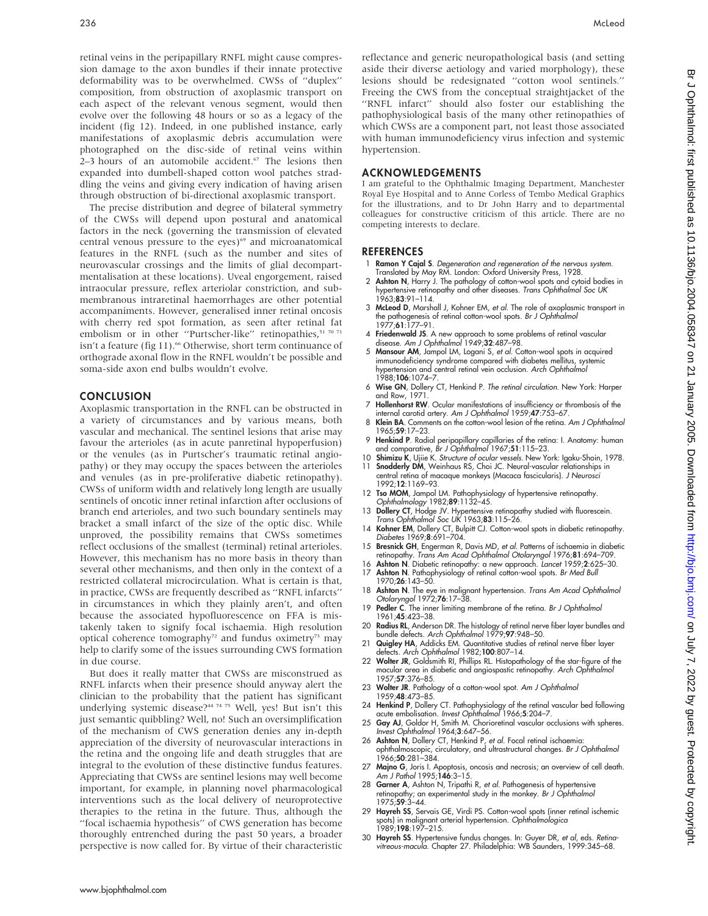retinal veins in the peripapillary RNFL might cause compression damage to the axon bundles if their innate protective deformability was to be overwhelmed. CWSs of ''duplex'' composition, from obstruction of axoplasmic transport on each aspect of the relevant venous segment, would then evolve over the following 48 hours or so as a legacy of the incident (fig 12). Indeed, in one published instance, early manifestations of axoplasmic debris accumulation were photographed on the disc-side of retinal veins within 2–3 hours of an automobile accident. $67$  The lesions then expanded into dumbell-shaped cotton wool patches straddling the veins and giving every indication of having arisen through obstruction of bi-directional axoplasmic transport.

The precise distribution and degree of bilateral symmetry of the CWSs will depend upon postural and anatomical factors in the neck (governing the transmission of elevated central venous pressure to the eyes)<sup>69</sup> and microanatomical features in the RNFL (such as the number and sites of neurovascular crossings and the limits of glial decompartmentalisation at these locations). Uveal engorgement, raised intraocular pressure, reflex arteriolar constriction, and submembranous intraretinal haemorrhages are other potential accompaniments. However, generalised inner retinal oncosis with cherry red spot formation, as seen after retinal fat embolism or in other "Purtscher-like" retinopathies,<sup>51 70 71</sup> isn't a feature (fig 11).<sup>66</sup> Otherwise, short term continuance of orthograde axonal flow in the RNFL wouldn't be possible and soma-side axon end bulbs wouldn't evolve.

#### **CONCLUSION**

Axoplasmic transportation in the RNFL can be obstructed in a variety of circumstances and by various means, both vascular and mechanical. The sentinel lesions that arise may favour the arterioles (as in acute panretinal hypoperfusion) or the venules (as in Purtscher's traumatic retinal angiopathy) or they may occupy the spaces between the arterioles and venules (as in pre-proliferative diabetic retinopathy). CWSs of uniform width and relatively long length are usually sentinels of oncotic inner retinal infarction after occlusions of branch end arterioles, and two such boundary sentinels may bracket a small infarct of the size of the optic disc. While unproved, the possibility remains that CWSs sometimes reflect occlusions of the smallest (terminal) retinal arterioles. However, this mechanism has no more basis in theory than several other mechanisms, and then only in the context of a restricted collateral microcirculation. What is certain is that, in practice, CWSs are frequently described as ''RNFL infarcts'' in circumstances in which they plainly aren't, and often because the associated hypofluorescence on FFA is mistakenly taken to signify focal ischaemia. High resolution optical coherence tomography<sup>72</sup> and fundus oximetry<sup>73</sup> may help to clarify some of the issues surrounding CWS formation in due course.

But does it really matter that CWSs are misconstrued as RNFL infarcts when their presence should anyway alert the clinician to the probability that the patient has significant underlying systemic disease?<sup>44 74 75</sup> Well, yes! But isn't this just semantic quibbling? Well, no! Such an oversimplification of the mechanism of CWS generation denies any in-depth appreciation of the diversity of neurovascular interactions in the retina and the ongoing life and death struggles that are integral to the evolution of these distinctive fundus features. Appreciating that CWSs are sentinel lesions may well become important, for example, in planning novel pharmacological interventions such as the local delivery of neuroprotective therapies to the retina in the future. Thus, although the ''focal ischaemia hypothesis'' of CWS generation has become thoroughly entrenched during the past 50 years, a broader perspective is now called for. By virtue of their characteristic reflectance and generic neuropathological basis (and setting aside their diverse aetiology and varied morphology), these lesions should be redesignated ''cotton wool sentinels.'' Freeing the CWS from the conceptual straightjacket of the ''RNFL infarct'' should also foster our establishing the pathophysiological basis of the many other retinopathies of which CWSs are a component part, not least those associated with human immunodeficiency virus infection and systemic hypertension.

#### ACKNOWLEDGEMENTS

I am grateful to the Ophthalmic Imaging Department, Manchester Royal Eye Hospital and to Anne Corless of Tembo Medical Graphics for the illustrations, and to Dr John Harry and to departmental colleagues for constructive criticism of this article. There are no competing interests to declare.

#### **REFERENCES**

- 1 **Ramon Y Cajal S**. Degeneration and regeneration of the nervous system.<br>Translated by May RM. London: Oxford University Press, 1928.
- 2 Ashton N, Harry J. The pathology of cotton-wool spots and cytoid bodies in hypertensive retinopathy and other diseases. Trans Ophthalmol Soc UK 1963;83:91–114.
- 3 McLeod D, Marshall J, Kohner EM, et al. The role of axoplasmic transport in the pathogenesis of retinal cotton-wool spots. Br J Ophthalmol 1977;61:177–91.
- 4 Friedenwald JS. A new approach to some problems of retinal vascular disease. Am J Ophthalmol 1949;32:487–98.
- 5 Mansour AM, Jampol LM, Logani S, et al. Cotton-wool spots in acquired immunodeficiency syndrome compared with diabetes mellitus, systemic hypertension and central retinal vein occlusion. Arch Ophthalmol 1988;106:1074–7.
- 6 Wise GN, Dollery CT, Henkind P. The retinal circulation. New York: Harper and Row, 1971.
- 7 Hollenhorst RW. Ocular manifestations of insufficiency or thrombosis of the internal carotid artery. Am J Ophthalmol 1959;47:753–67.
- 8 Klein BA. Comments on the cotton-wool lesion of the retina. Am J Ophthalmol 1965;59:17–23.
- 9 Henkind P. Radial peripapillary capillaries of the retina: I. Anatomy: human and comparative, Br J Ophthalmol 1967;51:115–23.
- 10 Shimizu K, Ujiie K. Structure of ocular vessels. New York: Igaku-Shoin, 1978. Snodderly DM, Weinhaus RS, Choi JC. Neural-vascular relationships in central retina of macaque monkeys (Macaca fascicularis). J Neurosci 1992;12:1169–93.
- 12 Tso MOM, Jampol LM. Pathophysiology of hypertensive retinopathy.
- Ophthalmology 1982;**89**:1132–45.<br>13 **Dollery CT**, Hodge JV. Hypertensive retinopathy studied with fluorescein. Trans Ophthalmol Soc UK 1963;83:115–26.
- 14 Kohner EM, Dollery CT, Bulpitt CJ. Cotton-wool spots in diabetic retinopathy. Diabetes 1969;8:691–704.
- 15 Bresnick GH, Engerman R, Davis MD, et al. Patterns of ischaemia in diabetic retinopathy. Trans Am Acad Ophthalmol Otolaryngol 1976;81:694–709.
- 16 Ashton N. Diabetic retinopathy: a new approach. Lancet 1959;2:625–30.
- 17 Ashton N. Pathophysiology of retinal cotton-wool spots. Br Med Bull 1970;26:143–50.
- 18 Ashton N. The eye in malignant hypertension. Trans Am Acad Ophthalmol Otolaryngol 1972;76:17–38.
- 19 Pedler C. The inner limiting membrane of the retina. Br J Ophthalmol 1961;45:423–38.
- 20 Radius RL, Anderson DR. The histology of retinal nerve fiber layer bundles and bundle defects. Arch Ophthalmol 1979;97:948–50.
- 21 Quigley HA, Addicks EM. Quantitative studies of retinal nerve fiber layer defects. Arch Ophthalmol 1982;100:807–14.
- 22 Wolter JR, Goldsmith RI, Phillips RL. Histopathology of the star-figure of the macular area in diabetic and angiospastic retinopathy. Arch Ophthalmol 1957;57:376–85.
- 23 Wolter JR. Pathology of a cotton-wool spot. Am J Ophthalmol 1959;48:473–85.
- 24 Henkind P, Dollery CT. Pathophysiology of the retinal vascular bed following acute embolisation. Invest Ophthalmol 1966;5:204–7.
- 25 Gay AJ, Goldor H, Smith M. Chorioretinal vascular occlusions with spheres. Invest Ophthalmol 1964;3:647–56.
- 26 Ashton N, Dollery CT, Henkind P, et al. Focal retinal ischaemia: ophthalmoscopic, circulatory, and ultrastructural changes. *Br J Ophthalmol*<br>1966;**50**:281–384.
- 27 **Majno G**, Joris I. Apoptosis, oncosis and necrosis; an overview of cell death.<br>Am J Pathol 1995;**146**:3–15.
- Garner A, Ashton N, Tripathi R, et al. Pathogenesis of hypertensive retinopathy; an experimental study in the monkey. Br J Ophthalmol 1975;59:3–44.
- 29 Hayreh SS, Servais GE, Virdi PS. Cotton-wool spots (inner retinal ischemic spots) in malignant arterial hypertension. *Ophthalmologica*<br>1989;**198**:197–215.
- 30 Hayreh SS. Hypertensive fundus changes. In: Guyer DR, et al, eds. Retina-vitreous-macula. Chapter 27. Philadelphia: WB Saunders, 1999:345–68.